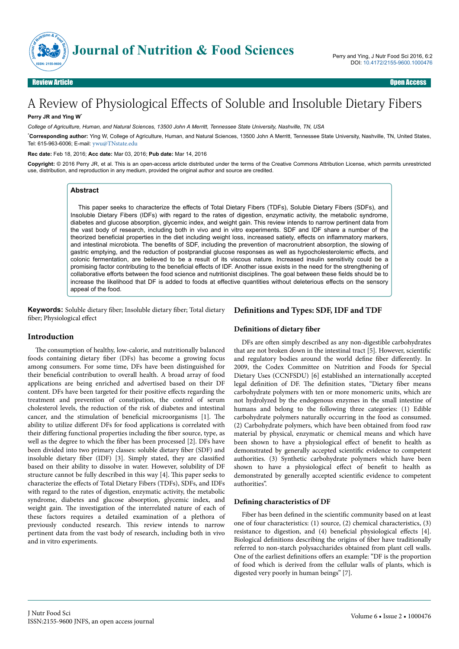

# A Review of Physiological Effects of Soluble and Insoluble Dietary Fibers

#### **Perry JR and Ying W**\*

*College of Agriculture, Human, and Natural Sciences, 13500 John A Merritt, Tennessee State University, Nashville, TN, USA*

\***Corresponding author:** Ying W, College of Agriculture, Human, and Natural Sciences, 13500 John A Merritt, Tennessee State University, Nashville, TN, United States, Tel: 615-963-6006; E-mail: [ywu@TNstate.edu](mailto:ywu@TNstate.edu)

#### **Rec date:** Feb 18, 2016; **Acc date:** Mar 03, 2016; **Pub date:** Mar 14, 2016

**Copyright:** © 2016 Perry JR, et al. This is an open-access article distributed under the terms of the Creative Commons Attribution License, which permits unrestricted use, distribution, and reproduction in any medium, provided the original author and source are credited.

## **Abstract**

This paper seeks to characterize the effects of Total Dietary Fibers (TDFs), Soluble Dietary Fibers (SDFs), and Insoluble Dietary Fibers (IDFs) with regard to the rates of digestion, enzymatic activity, the metabolic syndrome, diabetes and glucose absorption, glycemic index, and weight gain. This review intends to narrow pertinent data from the vast body of research, including both in vivo and in vitro experiments. SDF and IDF share a number of the theorized beneficial properties in the diet including weight loss, increased satiety, effects on inflammatory markers, and intestinal microbiota. The benefits of SDF, including the prevention of macronutrient absorption, the slowing of gastric emptying, and the reduction of postprandial glucose responses as well as hypocholesterolemic effects, and colonic fermentation, are believed to be a result of its viscous nature. Increased insulin sensitivity could be a promising factor contributing to the beneficial effects of IDF. Another issue exists in the need for the strengthening of collaborative efforts between the food science and nutritionist disciplines. The goal between these fields should be to increase the likelihood that DF is added to foods at effective quantities without deleterious effects on the sensory appeal of the food.

**Keywords:** Soluble dietary fiber; Insoluble dietary fiber; Total dietary fiber; Physiological effect

#### Definitions and Types: SDF, IDF and TDF

## **Introduction**

The consumption of healthy, low-calorie, and nutritionally balanced foods containing dietary fiber (DFs) has become a growing focus among consumers. For some time, DFs have been distinguished for their beneficial contribution to overall health. A broad array of food applications are being enriched and advertised based on their DF content. DFs have been targeted for their positive effects regarding the treatment and prevention of constipation, the control of serum cholesterol levels, the reduction of the risk of diabetes and intestinal cancer, and the stimulation of beneficial microorganisms [1]. Нe ability to utilize different DFs for food applications is correlated with their differing functional properties including the fiber source, type, as well as the degree to which the fiber has been processed [2]. DFs have been divided into two primary classes: soluble dietary fiber (SDF) and insoluble dietary fiber (IDF) [3]. Simply stated, they are classified based on their ability to dissolve in water. However, solubility of DF structure cannot be fully described in this way [4]. Нis paper seeks to characterize the effects of Total Dietary Fibers (TDFs), SDFs, and IDFs with regard to the rates of digestion, enzymatic activity, the metabolic syndrome, diabetes and glucose absorption, glycemic index, and weight gain. Нe investigation of the interrelated nature of each of these factors requires a detailed examination of a plethora of previously conducted research. Нis review intends to narrow pertinent data from the vast body of research, including both in vivo and in vitro experiments.

#### **Definitions** of dietary fiber

DFs are often simply described as any non-digestible carbohydrates that are not broken down in the intestinal tract [5]. However, scientific and regulatory bodies around the world define fiber differently. In 2009, the Codex Committee on Nutrition and Foods for Special Dietary Uses (CCNFSDU) [6] established an internationally accepted legal definition of DF. Нe definition states, "Dietary fiber means carbohydrate polymers with ten or more monomeric units, which are not hydrolyzed by the endogenous enzymes in the small intestine of humans and belong to the following three categories: (1) Edible carbohydrate polymers naturally occurring in the food as consumed. (2) Carbohydrate polymers, which have been obtained from food raw material by physical, enzymatic or chemical means and which have been shown to have a physiological effect of benefit to health as demonstrated by generally accepted scientific evidence to competent authorities. (3) Synthetic carbohydrate polymers which have been shown to have a physiological effect of benefit to health as demonstrated by generally accepted scientific evidence to competent authorities".

#### **Defining characteristics of DF**

Fiber has been defined in the scientific community based on at least one of four characteristics: (1) source, (2) chemical characteristics, (3) resistance to digestion, and  $(4)$  beneficial physiological effects  $[4]$ . Biological definitions describing the origins of fiber have traditionally referred to non-starch polysaccharides obtained from plant cell walls. One of the earliest definitions offers an example: "DF is the proportion of food which is derived from the cellular walls of plants, which is digested very poorly in human beings" [7].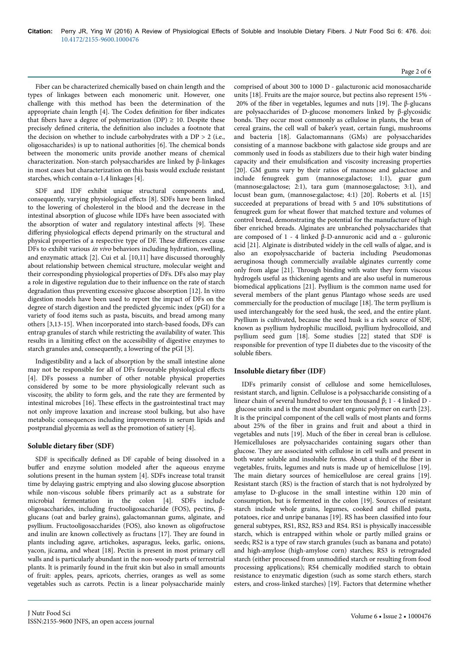Fiber can be characterized chemically based on chain length and the types of linkages between each monomeric unit. However, one challenge with this method has been the determination of the appropriate chain length [4]. Нe Codex definition for fiber indicates that fibers have a degree of polymerization (DP)  $\geq$  10. Despite these precisely defined criteria, the definition also includes a footnote that the decision on whether to include carbohydrates with a DP > 2 (i.e., oligosaccharides) is up to national authorities [6]. Нe chemical bonds between the monomeric units provide another means of chemical characterization. Non-starch polysaccharides are linked by β-linkages in most cases but characterization on this basis would exclude resistant starches, which contain  $\alpha$ -1,4 linkages [4].

SDF and IDF exhibit unique structural components and, consequently, varying physiological effects [8]. SDFs have been linked to the lowering of cholesterol in the blood and the decrease in the intestinal absorption of glucose while IDFs have been associated with the absorption of water and regulatory intestinal affects [9]. These differing physiological effects depend primarily on the structural and physical properties of a respective type of DF. These differences cause DFs to exhibit various in vivo behaviors including hydration, swelling, and enzymatic attack [2]. Cui et al. [10,11] have discussed thoroughly about relationship between chemical structure, molecular weight and their corresponding physiological properties of DFs. DFs also may play a role in digestive regulation due to their influence on the rate of starch degradation thus preventing excessive glucose absorption [12]. In vitro digestion models have been used to report the impact of DFs on the degree of starch digestion and the predicted glycemic index (pGI) for a variety of food items such as pasta, biscuits, and bread among many others [3,13-15]. When incorporated into starch-based foods, DFs can entrap granules of starch while restricting the availability of water. Нis results in a limiting effect on the accessibility of digestive enzymes to starch granules and, consequently, a lowering of the pGI [3].

Indigestibility and a lack of absorption by the small intestine alone may not be responsible for all of DFs favourable physiological effects [4]. DFs possess a number of other notable physical properties considered by some to be more physiologically relevant such as viscosity, the ability to form gels, and the rate they are fermented by intestinal microbes [16]. These effects in the gastrointestinal tract may not only improve laxation and increase stool bulking, but also have metabolic consequences including improvements in serum lipids and postprandial glycemia as well as the promotion of satiety [4].

## **Soluble dietary fiber (SDF)**

SDF is specifically defined as DF capable of being dissolved in a buffer and enzyme solution modeled after the aqueous enzyme solutions present in the human system [4]. SDFs increase total transit time by delaying gastric emptying and also slowing glucose absorption while non-viscous soluble fibers primarily act as a substrate for microbial fermentation in the colon [4]. SDFs include oligosaccharides, including fructooligosaccharide (FOS), pectins, βglucans (oat and barley grains), galactomannan gums, alginate, and psyllium. Fructooligosaccharides (FOS), also known as oligofructose and inulin are known collectively as fructans [17]. They are found in plants including agave, artichokes, asparagus, leeks, garlic, onions, yacon, jícama, and wheat [18]. Pectin is present in most primary cell walls and is particularly abundant in the non-woody parts of terrestrial plants. It is primarily found in the fruit skin but also in small amounts of fruit: apples, pears, apricots, cherries, oranges as well as some vegetables such as carrots. Pectin is a linear polysaccharide mainly comprised of about 300 to 1000 D - galacturonic acid monosaccharide units [18]. Fruits are the major source, but pectins also represent 15% - 20% of the fiber in vegetables, legumes and nuts [19]. Нe β-glucans are polysaccharides of D-glucose monomers linked by β-glycosidic bonds. They occur most commonly as cellulose in plants, the bran of cereal grains, the cell wall of baker's yeast, certain fungi, mushrooms and bacteria [18]. Galactomannans (GMs) are polysaccharides consisting of a mannose backbone with galactose side groups and are commonly used in foods as stabilizers due to their high water binding capacity and their emulsification and viscosity increasing properties [20]. GM gums vary by their ratios of mannose and galactose and include fenugreek gum (mannose:galactose; 1:1), guar gum (mannose:galactose; 2:1), tara gum (mannose:galactose; 3:1), and locust bean gum, (mannose:galactose; 4:1) [20]. Roberts et al. [15] succeeded at preparations of bread with 5 and 10% substitutions of fenugreek gum for wheat flower that matched texture and volumes of control bread, demonstrating the potential for the manufacture of high fiber enriched breads. Alginates are unbranched polysaccharides that are composed of 1 - 4 linked β-D-annuronic acid and α - guluronic acid [21]. Alginate is distributed widely in the cell walls of algae, and is also an exopolysaccharide of bacteria including Pseudomonas aeruginosa though commercially available alginates currently come only from algae [21]. Нrough binding with water they form viscous hydrogels useful as thickening agents and are also useful in numerous biomedical applications [21]. Psyllium is the common name used for several members of the plant genus Plantago whose seeds are used commercially for the production of mucilage [18]. Нe term psyllium is used interchangeably for the seed husk, the seed, and the entire plant. Psyllium is cultivated, because the seed husk is a rich source of SDF, known as psyllium hydrophilic mucilloid, psyllium hydrocolloid, and psyllium seed gum [18]. Some studies [22] stated that SDF is responsible for prevention of type II diabetes due to the viscosity of the soluble fibers.

## **Insoluble dietary fiber (IDF)**

IDFs primarily consist of cellulose and some hemicelluloses, resistant starch, and lignin. Cellulose is a polysaccharide consisting of a linear chain of several hundred to over ten thousand β; 1 - 4 linked D glucose units and is the most abundant organic polymer on earth [23]. It is the principal component of the cell walls of most plants and forms about 25% of the fiber in grains and fruit and about a third in vegetables and nuts [19]. Much of the fiber in cereal bran is cellulose. Hemicelluloses are polysaccharides containing sugars other than glucose. They are associated with cellulose in cell walls and present in both water soluble and insoluble forms. About a third of the fiber in vegetables, fruits, legumes and nuts is made up of hemicellulose [19]. The main dietary sources of hemicellulose are cereal grains [19]. Resistant starch (RS) is the fraction of starch that is not hydrolyzed by amylase to D-glucose in the small intestine within 120 min of consumption, but is fermented in the colon [19]. Sources of resistant starch include whole grains, legumes, cooked and chilled pasta, potatoes, rice and unripe bananas [19]. RS has been classified into four general subtypes, RS1, RS2, RS3 and RS4. RS1 is physically inaccessible starch, which is entrapped within whole or partly milled grains or seeds; RS2 is a type of raw starch granules (such as banana and potato) and high-amylose (high-amylose corn) starches; RS3 is retrograded starch (either processed from unmodified starch or resulting from food processing applications); RS4 chemically modified starch to obtain resistance to enzymatic digestion (such as some starch ethers, starch esters, and cross-linked starches) [19]. Factors that determine whether

#### Page 2 of 6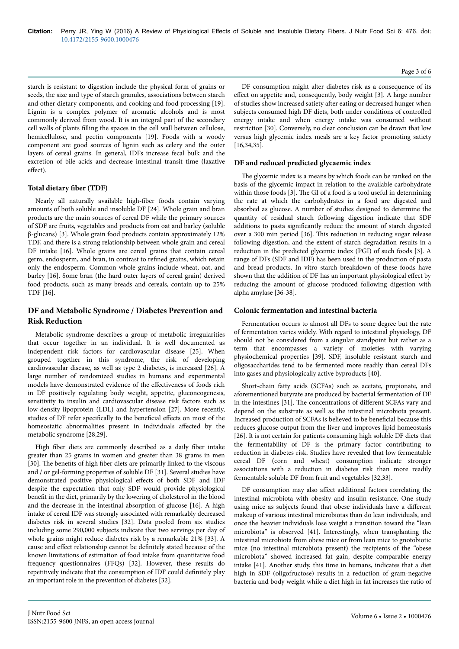starch is resistant to digestion include the physical form of grains or seeds, the size and type of starch granules, associations between starch and other dietary components, and cooking and food processing [19]. Lignin is a complex polymer of aromatic alcohols and is most commonly derived from wood. It is an integral part of the secondary cell walls of plants filling the spaces in the cell wall between cellulose, hemicellulose, and pectin components [19]. Foods with a woody component are good sources of lignin such as celery and the outer layers of cereal grains. In general, IDFs increase fecal bulk and the excretion of bile acids and decrease intestinal transit time (laxative effect).

## **Total dietary fiber (TDF)**

Nearly all naturally available high-fiber foods contain varying amounts of both soluble and insoluble DF [24]. Whole grain and bran products are the main sources of cereal DF while the primary sources of SDF are fruits, vegetables and products from oat and barley (soluble β-glucans) [3]. Whole grain food products contain approximately 12% TDF, and there is a strong relationship between whole grain and cereal DF intake [16]. Whole grains are cereal grains that contain cereal germ, endosperm, and bran, in contrast to refined grains, which retain only the endosperm. Common whole grains include wheat, oat, and barley [16]. Some bran (the hard outer layers of cereal grain) derived food products, such as many breads and cereals, contain up to 25% TDF [16].

## **DF and Metabolic Syndrome / Diabetes Prevention and Risk Reduction**

Metabolic syndrome describes a group of metabolic irregularities that occur together in an individual. It is well documented as independent risk factors for cardiovascular disease [25]. When grouped together in this syndrome, the risk of developing cardiovascular disease, as well as type 2 diabetes, is increased [26]. A large number of randomized studies in humans and experimental models have demonstrated evidence of the effectiveness of foods rich in DF positively regulating body weight, appetite, gluconeogenesis, sensitivity to insulin and cardiovascular disease risk factors such as low-density lipoprotein (LDL) and hypertension [27]. More recently, studies of DF refer specifically to the beneficial effects on most of the homeostatic abnormalities present in individuals affected by the metabolic syndrome [28,29].

High fiber diets are commonly described as a daily fiber intake greater than 25 grams in women and greater than 38 grams in men [30]. Нe benefits of high fiber diets are primarily linked to the viscous and / or gel-forming properties of soluble DF [31]. Several studies have demonstrated positive physiological effects of both SDF and IDF despite the expectation that only SDF would provide physiological benefit in the diet, primarily by the lowering of cholesterol in the blood and the decrease in the intestinal absorption of glucose [16]. A high intake of cereal IDF was strongly associated with remarkably decreased diabetes risk in several studies [32]. Data pooled from six studies including some 290,000 subjects indicate that two servings per day of whole grains might reduce diabetes risk by a remarkable 21% [33]. A cause and effect relationship cannot be definitely stated because of the known limitations of estimation of food intake from quantitative food frequency questionnaires (FFQs) [32]. However, these results do repetitively indicate that the consumption of IDF could definitely play an important role in the prevention of diabetes [32].

DF consumption might alter diabetes risk as a consequence of its effect on appetite and, consequently, body weight [3]. A large number of studies show increased satiety after eating or decreased hunger when subjects consumed high DF diets, both under conditions of controlled energy intake and when energy intake was consumed without restriction [30]. Conversely, no clear conclusion can be drawn that low versus high glycemic index meals are a key factor promoting satiety [16,34,35].

## **DF and reduced predicted glycaemic index**

The glycemic index is a means by which foods can be ranked on the basis of the glycemic impact in relation to the available carbohydrate within those foods [3]. The GI of a food is a tool useful in determining the rate at which the carbohydrates in a food are digested and absorbed as glucose. A number of studies designed to determine the quantity of residual starch following digestion indicate that SDF additions to pasta significantly reduce the amount of starch digested over a 300 min period [36]. Нis reduction in reducing sugar release following digestion, and the extent of starch degradation results in a reduction in the predicted glycemic index (PGI) of such foods [3]. A range of DFs (SDF and IDF) has been used in the production of pasta and bread products. In vitro starch breakdown of these foods have shown that the addition of DF has an important physiological effect by reducing the amount of glucose produced following digestion with alpha amylase [36-38].

## **Colonic fermentation and intestinal bacteria**

Fermentation occurs to almost all DFs to some degree but the rate of fermentation varies widely. With regard to intestinal physiology, DF should not be considered from a singular standpoint but rather as a term that encompasses a variety of moieties with varying physiochemical properties [39]. SDF, insoluble resistant starch and oligosaccharides tend to be fermented more readily than cereal DFs into gases and physiologically active byproducts [40].

Short-chain fatty acids (SCFAs) such as acetate, propionate, and aforementioned butyrate are produced by bacterial fermentation of DF in the intestines [31]. The concentrations of different SCFAs vary and depend on the substrate as well as the intestinal microbiota present. Increased production of SCFAs is believed to be beneficial because this reduces glucose output from the liver and improves lipid homeostasis [26]. It is not certain for patients consuming high soluble DF diets that the fermentability of DF is the primary factor contributing to reduction in diabetes risk. Studies have revealed that low fermentable cereal DF (corn and wheat) consumption indicate stronger associations with a reduction in diabetes risk than more readily fermentable soluble DF from fruit and vegetables [32,33].

DF consumption may also affect additional factors correlating the intestinal microbiota with obesity and insulin resistance. One study using mice as subjects found that obese individuals have a different makeup of various intestinal microbiotas than do lean individuals, and once the heavier individuals lose weight a transition toward the "lean microbiota" is observed [41]. Interestingly, when transplanting the intestinal microbiota from obese mice or from lean mice to gnotobiotic mice (no intestinal microbiota present) the recipients of the "obese microbiota" showed increased fat gain, despite comparable energy intake [41]. Another study, this time in humans, indicates that a diet high in SDF (oligofructose) results in a reduction of gram-negative bacteria and body weight while a diet high in fat increases the ratio of

#### Page 3 of 6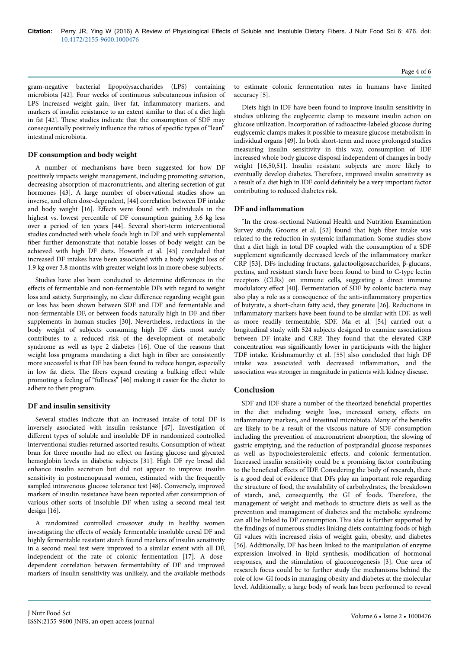gram-negative bacterial lipopolysaccharides (LPS) containing microbiota [42]. Four weeks of continuous subcutaneous infusion of LPS increased weight gain, liver fat, inflammatory markers, and markers of insulin resistance to an extent similar to that of a diet high in fat [42]. Нese studies indicate that the consumption of SDF may consequentially positively influence the ratios of specific types of "lean" intestinal microbiota.

#### **DF consumption and body weight**

A number of mechanisms have been suggested for how DF positively impacts weight management, including promoting satiation, decreasing absorption of macronutrients, and altering secretion of gut hormones [43]. A large number of observational studies show an inverse, and often dose-dependent, [44] correlation between DF intake and body weight [16]. Effects were found with individuals in the highest vs. lowest percentile of DF consumption gaining 3.6 kg less over a period of ten years [44]. Several short-term interventional studies conducted with whole foods high in DF and with supplemental fiber further demonstrate that notable losses of body weight can be achieved with high DF diets. Howarth et al. [45] concluded that increased DF intakes have been associated with a body weight loss of 1.9 kg over 3.8 months with greater weight loss in more obese subjects.

Studies have also been conducted to determine differences in the effects of fermentable and non-fermentable DFs with regard to weight loss and satiety. Surprisingly, no clear difference regarding weight gain or loss has been shown between SDF and IDF and fermentable and non-fermentable DF, or between foods naturally high in DF and fiber supplements in human studies [30]. Nevertheless, reductions in the body weight of subjects consuming high DF diets most surely contributes to a reduced risk of the development of metabolic syndrome as well as type 2 diabetes [16]. One of the reasons that weight loss programs mandating a diet high in fiber are consistently more successful is that DF has been found to reduce hunger, especially in low fat diets. The fibers expand creating a bulking effect while promoting a feeling of "fullness" [46] making it easier for the dieter to adhere to their program.

## **DF and insulin sensitivity**

Several studies indicate that an increased intake of total DF is inversely associated with insulin resistance [47]. Investigation of different types of soluble and insoluble DF in randomized controlled interventional studies returned assorted results. Consumption of wheat bran for three months had no effect on fasting glucose and glycated hemoglobin levels in diabetic subjects [31]. High DF rye bread did enhance insulin secretion but did not appear to improve insulin sensitivity in postmenopausal women, estimated with the frequently sampled intravenous glucose tolerance test [48]. Conversely, improved markers of insulin resistance have been reported after consumption of various other sorts of insoluble DF when using a second meal test design [16].

A randomized controlled crossover study in healthy women investigating the effects of weakly fermentable insoluble cereal DF and highly fermentable resistant starch found markers of insulin sensitivity in a second meal test were improved to a similar extent with all DF, independent of the rate of colonic fermentation [17]. A dosedependent correlation between fermentability of DF and improved markers of insulin sensitivity was unlikely, and the available methods

to estimate colonic fermentation rates in humans have limited accuracy [5].

Diets high in IDF have been found to improve insulin sensitivity in studies utilizing the euglycemic clamp to measure insulin action on glucose utilization. Incorporation of radioactive-labeled glucose during euglycemic clamps makes it possible to measure glucose metabolism in individual organs [49]. In both short-term and more prolonged studies measuring insulin sensitivity in this way, consumption of IDF increased whole body glucose disposal independent of changes in body weight [16,50,51]. Insulin resistant subjects are more likely to eventually develop diabetes. Нerefore, improved insulin sensitivity as a result of a diet high in IDF could definitel\ be a very important factor contributing to reduced diabetes risk.

## **DF** and **inflammation**

"In the cross-sectional National Health and Nutrition Examination Survey study, Grooms et al. [52] found that high fiber intake was related to the reduction in systemic inflammation. Some studies show that a diet high in total DF coupled with the consumption of a SDF supplement significantly decreased levels of the inflammatory marker CRP [53]. DFs including fructans, galactooligosaccharides, β-glucans, pectins, and resistant starch have been found to bind to C-type lectin receptors (CLRs) on immune cells, suggesting a direct immune modulatory effect [40]. Fermentation of SDF by colonic bacteria may also play a role as a consequence of the anti-inflammatory properties of butyrate, a short-chain fatty acid, they generate [26]. Reductions in inflammatory markers have been found to be similar with IDF, as well as more readily fermentable, SDF. Ma et al. [54] carried out a longitudinal study with 524 subjects designed to examine associations between DF intake and CRP. They found that the elevated CRP concentration was significantly lower in participants with the higher TDF intake. Krishnamurthy et al. [55] also concluded that high DF intake was associated with decreased inflammation, and the association was stronger in magnitude in patients with kidney disease.

## **Conclusion**

SDF and IDF share a number of the theorized beneficial properties in the diet including weight loss, increased satiety, effects on inflammatory markers, and intestinal microbiota. Many of the benefits are likely to be a result of the viscous nature of SDF consumption including the prevention of macronutrient absorption, the slowing of gastric emptying, and the reduction of postprandial glucose responses as well as hypocholesterolemic effects, and colonic fermentation. Increased insulin sensitivity could be a promising factor contributing to the beneficial effects of IDF. Considering the body of research, there is a good deal of evidence that DFs play an important role regarding the structure of food, the availability of carbohydrates, the breakdown of starch, and, consequently, the GI of foods. Нerefore, the management of weight and methods to structure diets as well as the prevention and management of diabetes and the metabolic syndrome can all be linked to DF consumption. Нis idea is further supported by the findings of numerous studies linking diets containing foods of high GI values with increased risks of weight gain, obesity, and diabetes [56]. Additionally, DF has been linked to the manipulation of enzyme expression involved in lipid synthesis, modification of hormonal responses, and the stimulation of gluconeogenesis [3]. One area of research focus could be to further study the mechanisms behind the role of low-GI foods in managing obesity and diabetes at the molecular level. Additionally, a large body of work has been performed to reveal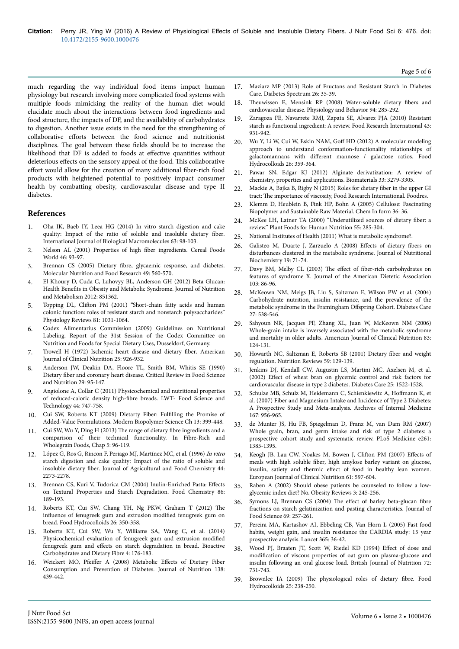much regarding the way individual food items impact human physiology but research involving more complicated food systems with multiple foods mimicking the reality of the human diet would elucidate much about the interactions between food ingredients and food structure, the impacts of DF, and the availability of carbohydrates to digestion. Another issue exists in the need for the strengthening of collaborative efforts between the food science and nutritionist disciplines. Нe goal between these fields should be to increase the likelihood that DF is added to foods at effective quantities without deleterious effects on the sensory appeal of the food. This collaborative effort would allow for the creation of many additional fiber-rich food products with heightened potential to positively impact consumer health by combatting obesity, cardiovascular disease and type II diabetes.

#### **References**

- 1. [Oha IK, Baeb IY, Leea HG \(2014\) In vitro starch digestion and cake](http://www.sciencedirect.com/science/article/pii/S0141813013005825) [quality: Impact of the ratio of soluble and insoluble dietary](http://www.sciencedirect.com/science/article/pii/S0141813013005825) fiber. [International Journal of Biological Macromolecules 63: 98-103.](http://www.sciencedirect.com/science/article/pii/S0141813013005825)
- 2. Nelson AL (2001) Properties of high fiber ingredients. Cereal Foods World 46: 93-97.
- 3. Brennan CS (2005) Dietary fibre, [glycaemic response, and diabetes.](http://www.ncbi.nlm.nih.gov/pubmed/15926145) [Molecular Nutrition and Food Research 49: 560-570.](http://www.ncbi.nlm.nih.gov/pubmed/15926145)
- 4. [El Khoury D, Cuda C, Luhovyy BL, Anderson GH \(2012\) Beta Glucan:](http://www.hindawi.com/journals/jnme/2012/851362/citations/) Health Benefits [in Obesity and Metabolic Syndrome. Journal of Nutrition](http://www.hindawi.com/journals/jnme/2012/851362/citations/) [and Metabolism 2012: 851362.](http://www.hindawi.com/journals/jnme/2012/851362/citations/)
- 5. Topping DL, Clifton [PM \(2001\) "Short-chain fatty acids and human](http://www.ncbi.nlm.nih.gov/pubmed/11427691) [colonic function: roles of resistant starch and nonstarch polysaccharides"](http://www.ncbi.nlm.nih.gov/pubmed/11427691) [Physiology Reviews 81: 1031-1064.](http://www.ncbi.nlm.nih.gov/pubmed/11427691)
- 6. [Codex Alimentarius Commission \(2009\) Guidelines on Nutritional](http://www.codexalimentarius.org) [Labeling. Report of the 31st Session of the Codex Committee on](http://www.codexalimentarius.org) [Nutrition and Foods for Special Dietary Uses, Dusseldorf, Germany.](http://www.codexalimentarius.org)
- 7. [Trowell H \(1972\) Ischemic heart disease and dietary](http://ajcn.nutrition.org/content/25/9/926.abstract) fiber. American [Journal of Clinical Nutrition 25: 926-932.](http://ajcn.nutrition.org/content/25/9/926.abstract)
- 8. [Anderson JW, Deakin DA, Floore TL, Smith BM, Whitis SE \(1990\)](http://www.tandfonline.com/doi/abs/10.1080/10408399009527518) Dietary fiber [and coronary heart disease. Critical Review in Food Science](http://www.tandfonline.com/doi/abs/10.1080/10408399009527518) [and Nutrition 29: 95-147.](http://www.tandfonline.com/doi/abs/10.1080/10408399009527518)
- 9. [Angiolone A, Collar C \(2011\) Physicochemical and nutritional properties](http://www.sciencedirect.com/science/article/pii/S0023643810003105) of reduced-caloric density high-fibre [breads. LWT- Food Science and](http://www.sciencedirect.com/science/article/pii/S0023643810003105) [Technology 44: 747-758.](http://www.sciencedirect.com/science/article/pii/S0023643810003105)
- 10. [Cui SW, Roberts KT \(2009\) Dietarty Fiber:](http://www.postnova.com/scientific-paper/view/1398.html?PDF=1) Fulfilling the Promise of [Added-Value Formulations. Modern Biopolymer Science Ch 13: 399-448.](http://www.postnova.com/scientific-paper/view/1398.html?PDF=1)
- 11. [Cui SW, Wu Y, Ding H \(2013\)](http://www.cabdirect.org/abstracts/20133418164.html;jsessionid=203EDBE847B6833180B8C28BED7DDF98) Нe range of dietary fibre ingredients and a [comparison of their technical functionality. In Fibre-Rich and](http://www.cabdirect.org/abstracts/20133418164.html;jsessionid=203EDBE847B6833180B8C28BED7DDF98) [Wholegrain Foods, Chap 5: 96-119.](http://www.cabdirect.org/abstracts/20133418164.html;jsessionid=203EDBE847B6833180B8C28BED7DDF98)
- 12. [López G, Ros G, Rincon F, Periago MJ, Martínez MC, et al. \(1996\)](http://www.sciencedirect.com/science/article/pii/S0141813013005825) In vitro [starch digestion and cake quality: Impact of the ratio of soluble and](http://www.sciencedirect.com/science/article/pii/S0141813013005825) insoluble dietary fiber. [Journal of Agricultural and Food Chemistry 44:](http://www.sciencedirect.com/science/article/pii/S0141813013005825) [2273-2278.](http://www.sciencedirect.com/science/article/pii/S0141813013005825)
- 13. [Brennan CS, Kuri V, Tudorica CM \(2004\) Inulin-Enriched Pasta:](http://www.sciencedirect.com/science/article/pii/S0308814603004412) Effects [on Textural Properties and Starch Degradation. Food Chemistry 86:](http://www.sciencedirect.com/science/article/pii/S0308814603004412) [189-193.](http://www.sciencedirect.com/science/article/pii/S0308814603004412)
- 14. [Roberts KT, Cui SW, Chang YH, Ng PKW, Graham T \(2012\)](http://scholars.opb.msu.edu/pubDetail.asp?t=pm&id=80052757404&) Нe influence [of fenugreek gum and extrusion](http://scholars.opb.msu.edu/pubDetail.asp?t=pm&id=80052757404&) modified fenugreek gum on [bread. Food Hydrocolloids 26: 350-358.](http://scholars.opb.msu.edu/pubDetail.asp?t=pm&id=80052757404&)
- 15. [Roberts KT, Cui SW, Wu Y, Williams SA, Wang C, et al. \(2014\)](https://www.infona.pl/resource/bwmeta1.element.elsevier-aa91b76e-98c0-3c74-ad94-72f6d58653d9) [Physicochemical evaluation of fenugreek gum and extrusion](https://www.infona.pl/resource/bwmeta1.element.elsevier-aa91b76e-98c0-3c74-ad94-72f6d58653d9) modified fenugreek gum and effects [on starch degradation in bread. Bioactive](https://www.infona.pl/resource/bwmeta1.element.elsevier-aa91b76e-98c0-3c74-ad94-72f6d58653d9) [Carbohydrates and Dietary Fibre 4: 176-183.](https://www.infona.pl/resource/bwmeta1.element.elsevier-aa91b76e-98c0-3c74-ad94-72f6d58653d9)
- 16. Weickert MO, Pfeiffer [A \(2008\) Metabolic](http://jn.nutrition.org/content/138/3/439.long) Effects of Dietary Fiber [Consumption and Prevention of Diabetes. Journal of Nutrition 138:](http://jn.nutrition.org/content/138/3/439.long) [439-442.](http://jn.nutrition.org/content/138/3/439.long)
- 17. [Maziarz MP \(2013\) Role of Fructans and Resistant Starch in Diabetes](http://spectrum.diabetesjournals.org/content/26/1/35.full) [Care. Diabetes Spectrum 26: 35-39.](http://spectrum.diabetesjournals.org/content/26/1/35.full)
- 18. Нeuwissen [E, Mensink RP \(2008\) Water-soluble dietary](http://www.ncbi.nlm.nih.gov/pubmed/18302966) fibers and [cardiovascular disease. Physiology and Behavior 94: 285-292.](http://www.ncbi.nlm.nih.gov/pubmed/18302966)
- 19. [Zaragoza FE, Navarrete RMJ, Zapata SE, Alvarez PJA \(2010\) Resistant](http://www.sciencedirect.com/science/article/pii/S0963996910000621) [starch as functional ingredient: A review. Food Research International 43:](http://www.sciencedirect.com/science/article/pii/S0963996910000621) [931-942.](http://www.sciencedirect.com/science/article/pii/S0963996910000621)
- 20. Wu Y, Li W, Cui W, Eskin NAM, Goff [HD \(2012\) A molecular modeling](http://www.agr.gc.ca/eng/abstract/?id=21866000000150) [approach to understand conformation-functionality relationships of](http://www.agr.gc.ca/eng/abstract/?id=21866000000150) galactomannans with different [mannose / galactose ratios. Food](http://www.agr.gc.ca/eng/abstract/?id=21866000000150) [Hydrocolloids 26: 359-364.](http://www.agr.gc.ca/eng/abstract/?id=21866000000150)
- 21. [Pawar SN, Edgar KJ \(2012\) Alginate derivatization: A review of](http://www.ncbi.nlm.nih.gov/pubmed/22281421) [chemistry, properties and applications. Biomaterials 33: 3279-3305.](http://www.ncbi.nlm.nih.gov/pubmed/22281421)
- 22. [Mackie A, Bajka B, Rigby N \(2015\) Roles for dietary](http://www.sciencedirect.com/science/article/pii/S0963996915302490) fiber in the upper GI tract: Нe [importance of viscosity, Food Research International. Foodres.](http://www.sciencedirect.com/science/article/pii/S0963996915302490)
- 23. [Klemm D, Heublein B, Fink HP, Bohn A \(2005\) Cellulose: Fascinating](http://www.citeulike.org/user/barmak7282/article/12852133) [Biopolymer and Sustainable Raw Material. Chem In form 36: 36.](http://www.citeulike.org/user/barmak7282/article/12852133)
- 24. [McKee LH, Latner TA \(2000\) "Underutilized sources of dietary](http://www.ncbi.nlm.nih.gov/pubmed/11086873) fiber: a [review." Plant Foods for Human Nutrition 55: 285-304.](http://www.ncbi.nlm.nih.gov/pubmed/11086873)
- 25. [National Institutes of Health \(2011\) What is metabolic syndrome?.](http://www.nhlbi.nih.gov/health/health-topics/topics/ms)
- 26. [Galisteo M, Duarte J, Zarzuelo A \(2008\)](http://www.ncbi.nlm.nih.gov/pubmed/17618108) Effects of dietary fibers on [disturbances clustered in the metabolic syndrome. Journal of Nutritional](http://www.ncbi.nlm.nih.gov/pubmed/17618108) [Biochemistry 19: 71-74.](http://www.ncbi.nlm.nih.gov/pubmed/17618108)
- 27. [Davy BM, Melby CL \(2003\)](http://www.ncbi.nlm.nih.gov/pubmed/12525799) The effect of fiber-rich carbohydrates on [features of syndrome X. Journal of the American Dietetic Association](http://www.ncbi.nlm.nih.gov/pubmed/12525799) [103: 86-96.](http://www.ncbi.nlm.nih.gov/pubmed/12525799)
- 28. [McKeown NM, Meigs JB, Liu S, Saltzman E, Wilson PW et al. \(2004\)](http://www.ncbi.nlm.nih.gov/pubmed/14747241) [Carbohydrate nutrition, insulin resistance, and the prevalence of the](http://www.ncbi.nlm.nih.gov/pubmed/14747241) [metabolic syndrome in the Framingham](http://www.ncbi.nlm.nih.gov/pubmed/14747241) Offspring Cohort. Diabetes Care [27: 538-546.](http://www.ncbi.nlm.nih.gov/pubmed/14747241)
- 29. [Sahyoun NR, Jacques PF, Zhang XL, Juan W, McKeown NM \(2006\)](http://ajcn.nutrition.org/content/83/1/124) [Whole-grain intake is inversely associated with the metabolic syndrome](http://ajcn.nutrition.org/content/83/1/124) [and mortality in older adults. American Journal of Clinical Nutrition 83:](http://ajcn.nutrition.org/content/83/1/124) [124-131.](http://ajcn.nutrition.org/content/83/1/124)
- 30. [Howarth NC, Saltzman E, Roberts SB \(2001\) Dietary](http://www.ncbi.nlm.nih.gov/pubmed/11396693) fiber and weight [regulation. Nutrition Reviews 59: 129-139.](http://www.ncbi.nlm.nih.gov/pubmed/11396693)
- 31. [Jenkins DJ, Kendall CW, Augustin LS, Martini MC, Axelsen M, et al.](http://www.ncbi.nlm.nih.gov/pubmed/12196421) (2002) Effect [of wheat bran on glycemic control and risk factors for](http://www.ncbi.nlm.nih.gov/pubmed/12196421) [cardiovascular disease in type 2 diabetes. Diabetes Care 25: 1522-1528.](http://www.ncbi.nlm.nih.gov/pubmed/12196421)
- 32. [Schulze MB, Schulz M, Heidemann C, Schienkiewitz A,](http://archinte.jamanetwork.com/article.aspx?articleid=412391) Hoffmann K, et [al. \(2007\) Fiber and Magnesium Intake and Incidence of Type 2 Diabetes:](http://archinte.jamanetwork.com/article.aspx?articleid=412391) [A Prospective Study and Meta-analysis. Archives of Internal Medicine](http://archinte.jamanetwork.com/article.aspx?articleid=412391) [167: 956-965.](http://archinte.jamanetwork.com/article.aspx?articleid=412391)
- 33. [de Munter JS, Hu FB, Spiegelman D, Franz M, van Dam RM \(2007\)](http://www.ncbi.nlm.nih.gov/pubmed/17760498) [Whole grain, bran, and germ intake and risk of type 2 diabetes: a](http://www.ncbi.nlm.nih.gov/pubmed/17760498) [prospective cohort study and systematic review. PLoS Medicine e261:](http://www.ncbi.nlm.nih.gov/pubmed/17760498) [1385-1395.](http://www.ncbi.nlm.nih.gov/pubmed/17760498)
- 34. [Keogh JB, Lau CW, Noakes M, Bowen J,](http://www.ncbi.nlm.nih.gov/pubmed/17164830) Clifton PM (2007) Effects of meals with high soluble fiber, [high amylose barley variant on glucose,](http://www.ncbi.nlm.nih.gov/pubmed/17164830) insulin, satiety and thermic effect [of food in healthy lean women.](http://www.ncbi.nlm.nih.gov/pubmed/17164830) [European Journal of Clinical Nutrition 61: 597-604.](http://www.ncbi.nlm.nih.gov/pubmed/17164830)
- 35. [Raben A \(2002\) Should obese patients be counseled to follow a low](http://www.ncbi.nlm.nih.gov/pubmed/12458970)[glycemic index diet? No. Obesity Reviews 3: 245-256.](http://www.ncbi.nlm.nih.gov/pubmed/12458970)
- 36. [Symons LJ, Brennan CS \(2004\)](http://agris.fao.org/agris-search/search.do?recordID=US201301004870) The effect of barley beta-glucan fibre [fractions on starch gelatinization and pasting characteristics. Journal of](http://agris.fao.org/agris-search/search.do?recordID=US201301004870) [Food Science 69: 257-261.](http://agris.fao.org/agris-search/search.do?recordID=US201301004870)
- 37. [Pereira MA, Kartashov AI, Ebbeling CB, Van Horn L \(2005\) Fast food](http://www.ncbi.nlm.nih.gov/pubmed/15639678) [habits, weight gain, and insulin resistance the CARDIA study: 15 year](http://www.ncbi.nlm.nih.gov/pubmed/15639678) [prospective analysis. Lancet 365: 36-42.](http://www.ncbi.nlm.nih.gov/pubmed/15639678)
- 38. [Wood PJ, Braaten JT, Scott W, Riedel KD \(1994\)](http://journals.cambridge.org/action/displayAbstract?fromPage=online&aid=1284672&fileId=S0007114594001765) Effect of dose and modification [of viscous properties of oat gum on plasma-glucose and](http://journals.cambridge.org/action/displayAbstract?fromPage=online&aid=1284672&fileId=S0007114594001765) [insulin following an oral glucose load. British Journal of Nutrition 72:](http://journals.cambridge.org/action/displayAbstract?fromPage=online&aid=1284672&fileId=S0007114594001765) [731-743.](http://journals.cambridge.org/action/displayAbstract?fromPage=online&aid=1284672&fileId=S0007114594001765)
- 39. Brownlee IA (2009) Нe [physiological roles of dietary](http://www.sciencedirect.com/science/article/pii/S0268005X09002501) fibre. Food [Hydrocolloids 25: 238-250.](http://www.sciencedirect.com/science/article/pii/S0268005X09002501)